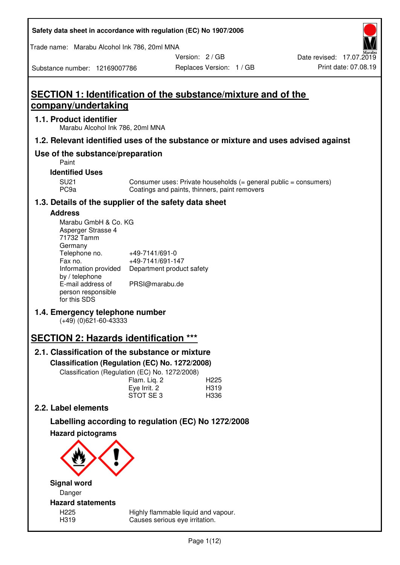| Safety data sheet in accordance with regulation (EC) No 1907/2006 |  |
|-------------------------------------------------------------------|--|
|-------------------------------------------------------------------|--|

Trade name: Marabu Alcohol Ink 786, 20ml MNA

Version: 2 / GB

Substance number: 12169007786

# **SECTION 1: Identification of the substance/mixture and of the company/undertaking**

## **1.1. Product identifier**

Marabu Alcohol Ink 786, 20ml MNA

## **1.2. Relevant identified uses of the substance or mixture and uses advised against**

## **Use of the substance/preparation**

Paint

### **Identified Uses**

SU21 Consumer uses: Private households (= general public = consumers)<br>PC9a Coatings and paints, thinners, paint removers Coatings and paints, thinners, paint removers

## **1.3. Details of the supplier of the safety data sheet**

## **Address**

| Marabu GmbH & Co. KG |                           |
|----------------------|---------------------------|
| Asperger Strasse 4   |                           |
| 71732 Tamm           |                           |
| Germany              |                           |
| Telephone no.        | +49-7141/691-0            |
| Fax no.              | +49-7141/691-147          |
| Information provided | Department product safety |
| by / telephone       |                           |
| E-mail address of    | PRSI@marabu.de            |
| person responsible   |                           |
| for this SDS         |                           |

## **1.4. Emergency telephone number**

(+49) (0)621-60-43333

# **SECTION 2: Hazards identification \*\*\***

## **2.1. Classification of the substance or mixture**

**Classification (Regulation (EC) No. 1272/2008)** 

Classification (Regulation (EC) No. 1272/2008)

|              | . |                  |
|--------------|---|------------------|
| Flam. Liq. 2 |   | H <sub>225</sub> |
| Eye Irrit. 2 |   | H319             |
| STOT SE3     |   | H336             |
|              |   |                  |

## **2.2. Label elements**

# **Labelling according to regulation (EC) No 1272/2008**



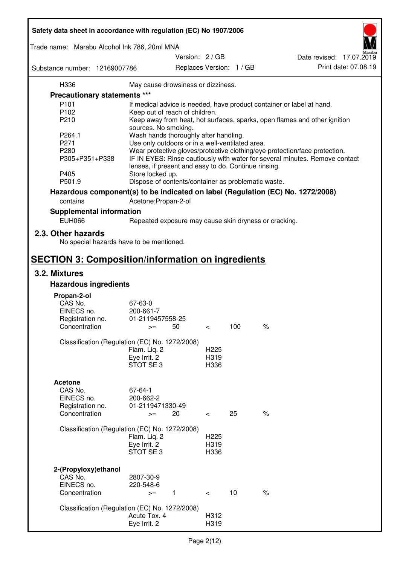| Safety data sheet in accordance with regulation (EC) No 1907/2006 |                                                       |                          |     |                                                                                 |  |
|-------------------------------------------------------------------|-------------------------------------------------------|--------------------------|-----|---------------------------------------------------------------------------------|--|
| Trade name: Marabu Alcohol Ink 786, 20ml MNA                      |                                                       |                          |     |                                                                                 |  |
|                                                                   |                                                       | Version: 2 / GB          |     | Date revised: 17.07.2019                                                        |  |
| Substance number: 12169007786                                     |                                                       | Replaces Version: 1 / GB |     | Print date: 07.08.19                                                            |  |
| H336                                                              | May cause drowsiness or dizziness.                    |                          |     |                                                                                 |  |
| Precautionary statements ***                                      |                                                       |                          |     |                                                                                 |  |
| P <sub>101</sub>                                                  |                                                       |                          |     | If medical advice is needed, have product container or label at hand.           |  |
| P102                                                              | Keep out of reach of children.                        |                          |     |                                                                                 |  |
| P210                                                              |                                                       |                          |     | Keep away from heat, hot surfaces, sparks, open flames and other ignition       |  |
|                                                                   | sources. No smoking.                                  |                          |     |                                                                                 |  |
| P264.1                                                            | Wash hands thoroughly after handling.                 |                          |     |                                                                                 |  |
| P271                                                              | Use only outdoors or in a well-ventilated area.       |                          |     |                                                                                 |  |
| P280                                                              |                                                       |                          |     | Wear protective gloves/protective clothing/eye protection/face protection.      |  |
| P305+P351+P338                                                    | lenses, if present and easy to do. Continue rinsing.  |                          |     | IF IN EYES: Rinse cautiously with water for several minutes. Remove contact     |  |
| P405                                                              | Store locked up.                                      |                          |     |                                                                                 |  |
| P501.9                                                            | Dispose of contents/container as problematic waste.   |                          |     |                                                                                 |  |
|                                                                   |                                                       |                          |     | Hazardous component(s) to be indicated on label (Regulation (EC) No. 1272/2008) |  |
| contains                                                          | Acetone; Propan-2-ol                                  |                          |     |                                                                                 |  |
| <b>Supplemental information</b>                                   |                                                       |                          |     |                                                                                 |  |
| <b>EUH066</b>                                                     | Repeated exposure may cause skin dryness or cracking. |                          |     |                                                                                 |  |
| 2.3. Other hazards<br>No special hazards have to be mentioned.    |                                                       |                          |     |                                                                                 |  |
| <b>SECTION 3: Composition/information on ingredients</b>          |                                                       |                          |     |                                                                                 |  |
| 3.2. Mixtures                                                     |                                                       |                          |     |                                                                                 |  |
| <b>Hazardous ingredients</b>                                      |                                                       |                          |     |                                                                                 |  |
|                                                                   |                                                       |                          |     |                                                                                 |  |
| Propan-2-ol                                                       |                                                       |                          |     |                                                                                 |  |
| CAS No.<br>EINECS no.                                             | 67-63-0<br>200-661-7                                  |                          |     |                                                                                 |  |
| Registration no.                                                  | 01-2119457558-25                                      |                          |     |                                                                                 |  |
| Concentration                                                     | 50<br>$>=$                                            | $\,<\,$                  | 100 | $\%$                                                                            |  |
|                                                                   |                                                       |                          |     |                                                                                 |  |
|                                                                   | Classification (Regulation (EC) No. 1272/2008)        |                          |     |                                                                                 |  |
|                                                                   | Flam. Liq. 2                                          | H <sub>225</sub>         |     |                                                                                 |  |
|                                                                   | Eye Irrit. 2                                          | H319                     |     |                                                                                 |  |
|                                                                   | STOT SE3                                              | H336                     |     |                                                                                 |  |
|                                                                   |                                                       |                          |     |                                                                                 |  |
| <b>Acetone</b>                                                    |                                                       |                          |     |                                                                                 |  |
| CAS No.                                                           | 67-64-1                                               |                          |     |                                                                                 |  |
| EINECS no.                                                        | 200-662-2                                             |                          |     |                                                                                 |  |
| Registration no.                                                  | 01-2119471330-49                                      |                          |     |                                                                                 |  |
| Concentration                                                     | 20<br>$>=$                                            | $\overline{\phantom{0}}$ | 25  | $\%$                                                                            |  |
|                                                                   | Classification (Regulation (EC) No. 1272/2008)        |                          |     |                                                                                 |  |
|                                                                   | Flam. Liq. 2                                          | H <sub>225</sub>         |     |                                                                                 |  |
|                                                                   | Eye Irrit. 2                                          | H319                     |     |                                                                                 |  |
|                                                                   | STOT SE3                                              | H336                     |     |                                                                                 |  |
|                                                                   |                                                       |                          |     |                                                                                 |  |
| 2-(Propyloxy) ethanol                                             |                                                       |                          |     |                                                                                 |  |
| CAS No.                                                           | 2807-30-9                                             |                          |     |                                                                                 |  |
| EINECS no.                                                        | 220-548-6                                             |                          |     |                                                                                 |  |
| Concentration                                                     | $\mathbf{1}$<br>$>=$                                  | $\prec$                  | 10  | $\%$                                                                            |  |
|                                                                   |                                                       |                          |     |                                                                                 |  |
|                                                                   | Classification (Regulation (EC) No. 1272/2008)        |                          |     |                                                                                 |  |
|                                                                   | Acute Tox. 4                                          | H312                     |     |                                                                                 |  |
|                                                                   | Eye Irrit. 2                                          | H319                     |     |                                                                                 |  |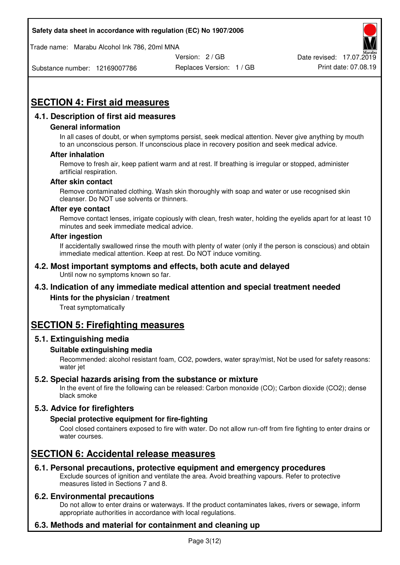Trade name: Marabu Alcohol Ink 786, 20ml MNA



Substance number: 12169007786

Replaces Version: 1 / GB Print date: 07.08.19

# **SECTION 4: First aid measures**

## **4.1. Description of first aid measures**

#### **General information**

In all cases of doubt, or when symptoms persist, seek medical attention. Never give anything by mouth to an unconscious person. If unconscious place in recovery position and seek medical advice.

#### **After inhalation**

Remove to fresh air, keep patient warm and at rest. If breathing is irregular or stopped, administer artificial respiration.

#### **After skin contact**

Remove contaminated clothing. Wash skin thoroughly with soap and water or use recognised skin cleanser. Do NOT use solvents or thinners.

#### **After eye contact**

Remove contact lenses, irrigate copiously with clean, fresh water, holding the eyelids apart for at least 10 minutes and seek immediate medical advice.

#### **After ingestion**

If accidentally swallowed rinse the mouth with plenty of water (only if the person is conscious) and obtain immediate medical attention. Keep at rest. Do NOT induce vomiting.

#### **4.2. Most important symptoms and effects, both acute and delayed**  Until now no symptoms known so far.

## **4.3. Indication of any immediate medical attention and special treatment needed**

#### **Hints for the physician / treatment**

Treat symptomatically

## **SECTION 5: Firefighting measures**

#### **5.1. Extinguishing media**

#### **Suitable extinguishing media**

Recommended: alcohol resistant foam, CO2, powders, water spray/mist, Not be used for safety reasons: water jet

#### **5.2. Special hazards arising from the substance or mixture**

In the event of fire the following can be released: Carbon monoxide (CO); Carbon dioxide (CO2); dense black smoke

## **5.3. Advice for firefighters**

#### **Special protective equipment for fire-fighting**

Cool closed containers exposed to fire with water. Do not allow run-off from fire fighting to enter drains or water courses.

## **SECTION 6: Accidental release measures**

#### **6.1. Personal precautions, protective equipment and emergency procedures**

Exclude sources of ignition and ventilate the area. Avoid breathing vapours. Refer to protective measures listed in Sections 7 and 8.

#### **6.2. Environmental precautions**

Do not allow to enter drains or waterways. If the product contaminates lakes, rivers or sewage, inform appropriate authorities in accordance with local regulations.

## **6.3. Methods and material for containment and cleaning up**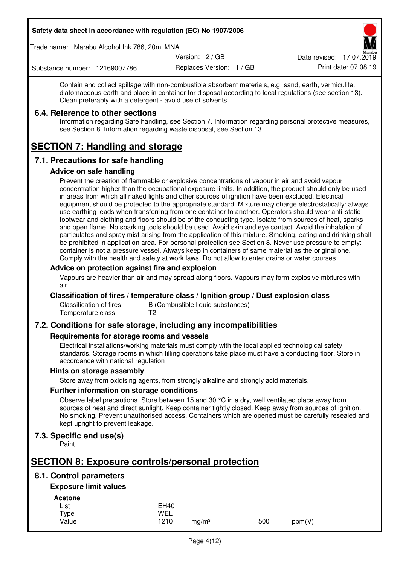Trade name: Marabu Alcohol Ink 786, 20ml MNA

Version: 2 / GB

Replaces Version: 1 / GB Print date: 07.08.19 Date revised: 17.07.2019

Substance number: 12169007786

Contain and collect spillage with non-combustible absorbent materials, e.g. sand, earth, vermiculite, diatomaceous earth and place in container for disposal according to local regulations (see section 13). Clean preferably with a detergent - avoid use of solvents.

### **6.4. Reference to other sections**

Information regarding Safe handling, see Section 7. Information regarding personal protective measures, see Section 8. Information regarding waste disposal, see Section 13.

# **SECTION 7: Handling and storage**

## **7.1. Precautions for safe handling**

#### **Advice on safe handling**

Prevent the creation of flammable or explosive concentrations of vapour in air and avoid vapour concentration higher than the occupational exposure limits. In addition, the product should only be used in areas from which all naked lights and other sources of ignition have been excluded. Electrical equipment should be protected to the appropriate standard. Mixture may charge electrostatically: always use earthing leads when transferring from one container to another. Operators should wear anti-static footwear and clothing and floors should be of the conducting type. Isolate from sources of heat, sparks and open flame. No sparking tools should be used. Avoid skin and eye contact. Avoid the inhalation of particulates and spray mist arising from the application of this mixture. Smoking, eating and drinking shall be prohibited in application area. For personal protection see Section 8. Never use pressure to empty: container is not a pressure vessel. Always keep in containers of same material as the original one. Comply with the health and safety at work laws. Do not allow to enter drains or water courses.

### **Advice on protection against fire and explosion**

Vapours are heavier than air and may spread along floors. Vapours may form explosive mixtures with air.

#### **Classification of fires / temperature class / Ignition group / Dust explosion class**

Classification of fires B (Combustible liquid substances)<br>Temperature class T2 Temperature class

## **7.2. Conditions for safe storage, including any incompatibilities**

#### **Requirements for storage rooms and vessels**

Electrical installations/working materials must comply with the local applied technological safety standards. Storage rooms in which filling operations take place must have a conducting floor. Store in accordance with national regulation

#### **Hints on storage assembly**

Store away from oxidising agents, from strongly alkaline and strongly acid materials.

#### **Further information on storage conditions**

Observe label precautions. Store between 15 and 30 °C in a dry, well ventilated place away from sources of heat and direct sunlight. Keep container tightly closed. Keep away from sources of ignition. No smoking. Prevent unauthorised access. Containers which are opened must be carefully resealed and kept upright to prevent leakage.

## **7.3. Specific end use(s)**

Paint

# **SECTION 8: Exposure controls/personal protection**

## **8.1. Control parameters**

## **Exposure limit values**

**Acetone** 

| -------- |             |                   |     |        |
|----------|-------------|-------------------|-----|--------|
| List     | <b>EH40</b> |                   |     |        |
| Type     | WEL         |                   |     |        |
| Value    | 1210        | ma/m <sup>3</sup> | 500 | ppm(V) |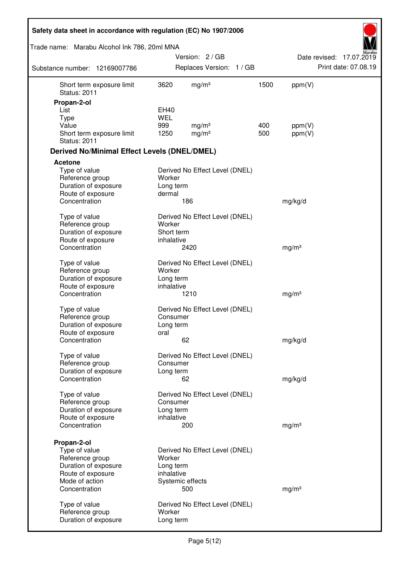| Safety data sheet in accordance with regulation (EC) No 1907/2006 |                           |                                |      |                   |                          |
|-------------------------------------------------------------------|---------------------------|--------------------------------|------|-------------------|--------------------------|
| Trade name: Marabu Alcohol Ink 786, 20ml MNA                      |                           |                                |      |                   |                          |
|                                                                   |                           | Version: 2 / GB                |      |                   | Date revised: 17.07.2019 |
| Substance number: 12169007786                                     |                           | Replaces Version: 1 / GB       |      |                   | Print date: 07.08.19     |
| Short term exposure limit<br><b>Status: 2011</b>                  | 3620                      | mg/m <sup>3</sup>              | 1500 | ppm(V)            |                          |
| Propan-2-ol                                                       |                           |                                |      |                   |                          |
| List                                                              | <b>EH40</b><br><b>WEL</b> |                                |      |                   |                          |
| <b>Type</b><br>Value                                              | 999                       | mg/m <sup>3</sup>              | 400  | ppm(V)            |                          |
| Short term exposure limit<br><b>Status: 2011</b>                  | 1250                      | mg/m <sup>3</sup>              | 500  | ppm(V)            |                          |
| <b>Derived No/Minimal Effect Levels (DNEL/DMEL)</b>               |                           |                                |      |                   |                          |
| <b>Acetone</b>                                                    |                           |                                |      |                   |                          |
| Type of value                                                     |                           | Derived No Effect Level (DNEL) |      |                   |                          |
| Reference group                                                   | Worker                    |                                |      |                   |                          |
| Duration of exposure<br>Route of exposure                         | Long term<br>dermal       |                                |      |                   |                          |
| Concentration                                                     |                           | 186                            |      | mg/kg/d           |                          |
|                                                                   |                           |                                |      |                   |                          |
| Type of value                                                     |                           | Derived No Effect Level (DNEL) |      |                   |                          |
| Reference group                                                   | Worker                    |                                |      |                   |                          |
| Duration of exposure<br>Route of exposure                         | Short term<br>inhalative  |                                |      |                   |                          |
| Concentration                                                     |                           | 2420                           |      | mg/m <sup>3</sup> |                          |
|                                                                   |                           |                                |      |                   |                          |
| Type of value                                                     |                           | Derived No Effect Level (DNEL) |      |                   |                          |
| Reference group<br>Duration of exposure                           | Worker<br>Long term       |                                |      |                   |                          |
| Route of exposure                                                 | inhalative                |                                |      |                   |                          |
| Concentration                                                     |                           | 1210                           |      | mg/m <sup>3</sup> |                          |
| Type of value                                                     |                           | Derived No Effect Level (DNEL) |      |                   |                          |
| Reference group                                                   | Consumer                  |                                |      |                   |                          |
| Duration of exposure                                              | Long term                 |                                |      |                   |                          |
| Route of exposure                                                 | oral                      |                                |      |                   |                          |
| Concentration                                                     |                           | 62                             |      | mg/kg/d           |                          |
| Type of value                                                     |                           | Derived No Effect Level (DNEL) |      |                   |                          |
| Reference group                                                   | Consumer                  |                                |      |                   |                          |
| Duration of exposure                                              | Long term                 |                                |      |                   |                          |
| Concentration                                                     |                           | 62                             |      | mg/kg/d           |                          |
| Type of value                                                     |                           | Derived No Effect Level (DNEL) |      |                   |                          |
| Reference group                                                   | Consumer                  |                                |      |                   |                          |
| Duration of exposure                                              | Long term                 |                                |      |                   |                          |
| Route of exposure                                                 | inhalative                |                                |      |                   |                          |
| Concentration                                                     |                           | 200                            |      | mg/m <sup>3</sup> |                          |
| Propan-2-ol                                                       |                           |                                |      |                   |                          |
| Type of value                                                     |                           | Derived No Effect Level (DNEL) |      |                   |                          |
| Reference group                                                   | Worker                    |                                |      |                   |                          |
| Duration of exposure<br>Route of exposure                         | Long term<br>inhalative   |                                |      |                   |                          |
| Mode of action                                                    |                           | Systemic effects               |      |                   |                          |
| Concentration                                                     |                           | 500                            |      | mg/m <sup>3</sup> |                          |
|                                                                   |                           |                                |      |                   |                          |
| Type of value<br>Reference group                                  | Worker                    | Derived No Effect Level (DNEL) |      |                   |                          |
| Duration of exposure                                              | Long term                 |                                |      |                   |                          |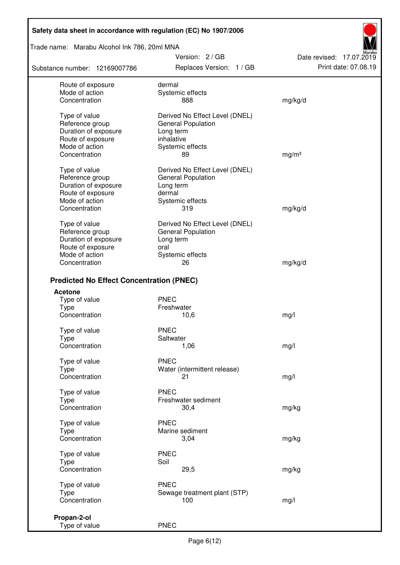Trade name: Marabu Alcohol Ink 786, 20ml MNA

Substance number: 12169007786

Version: 2 / GB Replaces Version: 1 / GB Print date: 07.08.19

Date revised: 17.07.2019

| Route of exposure                               | dermal                         |                   |
|-------------------------------------------------|--------------------------------|-------------------|
| Mode of action                                  | Systemic effects               |                   |
| Concentration                                   | 888                            | mg/kg/d           |
|                                                 |                                |                   |
| Type of value                                   | Derived No Effect Level (DNEL) |                   |
| Reference group                                 | <b>General Population</b>      |                   |
| Duration of exposure                            | Long term                      |                   |
| Route of exposure                               | inhalative                     |                   |
| Mode of action                                  | Systemic effects               |                   |
| Concentration                                   | 89                             | mg/m <sup>3</sup> |
|                                                 |                                |                   |
| Type of value                                   | Derived No Effect Level (DNEL) |                   |
| Reference group                                 | <b>General Population</b>      |                   |
| Duration of exposure                            | Long term                      |                   |
| Route of exposure                               | dermal                         |                   |
| Mode of action                                  | Systemic effects               |                   |
| Concentration                                   | 319                            | mg/kg/d           |
|                                                 |                                |                   |
| Type of value                                   | Derived No Effect Level (DNEL) |                   |
| Reference group                                 | <b>General Population</b>      |                   |
| Duration of exposure                            | Long term                      |                   |
| Route of exposure                               | oral                           |                   |
| Mode of action                                  | Systemic effects               |                   |
| Concentration                                   | 26                             | mg/kg/d           |
|                                                 |                                |                   |
| <b>Predicted No Effect Concentration (PNEC)</b> |                                |                   |
| <b>Acetone</b>                                  |                                |                   |
| Type of value                                   | <b>PNEC</b>                    |                   |
| <b>Type</b>                                     | Freshwater                     |                   |
| Concentration                                   | 10,6                           | mg/l              |
|                                                 |                                |                   |
| Type of value                                   | <b>PNEC</b>                    |                   |
| <b>Type</b>                                     | Saltwater                      |                   |
| Concentration                                   | 1,06                           | mg/l              |
|                                                 |                                |                   |
| Type of value                                   | <b>PNEC</b>                    |                   |
| Type                                            | Water (intermittent release)   |                   |
| Concentration                                   | 21                             | mg/l              |
| Type of value                                   | <b>PNEC</b>                    |                   |
|                                                 | Freshwater sediment            |                   |
| <b>Type</b>                                     |                                |                   |
| Concentration                                   | 30,4                           | mg/kg             |
| Type of value                                   | <b>PNEC</b>                    |                   |
| <b>Type</b>                                     | Marine sediment                |                   |
| Concentration                                   | 3,04                           | mg/kg             |
|                                                 |                                |                   |
| Type of value                                   | <b>PNEC</b>                    |                   |
| Type                                            | Soil                           |                   |
| Concentration                                   | 29,5                           | mg/kg             |
|                                                 |                                |                   |
| Type of value                                   | <b>PNEC</b>                    |                   |
| <b>Type</b>                                     | Sewage treatment plant (STP)   |                   |
| Concentration                                   | 100                            | mg/l              |
|                                                 |                                |                   |
| Propan-2-ol                                     |                                |                   |
| Type of value                                   | <b>PNEC</b>                    |                   |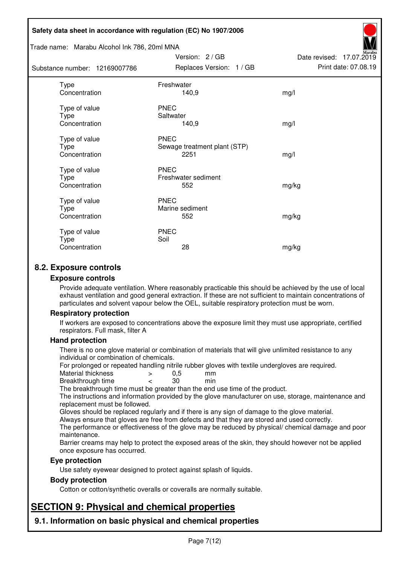#### Trade name: Marabu Alcohol Ink 786, 20ml MNA

Subst

| ance number: 12169007786                      | Replaces Version: 1 / GB                            | Print date: 07.08.19 |
|-----------------------------------------------|-----------------------------------------------------|----------------------|
| <b>Type</b><br>Concentration                  | Freshwater<br>140,9                                 | mg/l                 |
| Type of value<br>Type<br>Concentration        | <b>PNEC</b><br>Saltwater<br>140,9                   | mg/l                 |
| Type of value<br>Type<br>Concentration        | <b>PNEC</b><br>Sewage treatment plant (STP)<br>2251 | mg/l                 |
| Type of value<br><b>Type</b><br>Concentration | <b>PNEC</b><br>Freshwater sediment<br>552           | mg/kg                |
| Type of value<br>Type<br>Concentration        | <b>PNEC</b><br>Marine sediment<br>552               | mg/kg                |
| Type of value<br>Type<br>Concentration        | <b>PNEC</b><br>Soil<br>28                           | mg/kg                |

Version: 2 / GB

Date revised: 17.07.2019

## **8.2. Exposure controls**

#### **Exposure controls**

Provide adequate ventilation. Where reasonably practicable this should be achieved by the use of local exhaust ventilation and good general extraction. If these are not sufficient to maintain concentrations of particulates and solvent vapour below the OEL, suitable respiratory protection must be worn.

#### **Respiratory protection**

If workers are exposed to concentrations above the exposure limit they must use appropriate, certified respirators. Full mask, filter A

#### **Hand protection**

There is no one glove material or combination of materials that will give unlimited resistance to any individual or combination of chemicals.

For prolonged or repeated handling nitrile rubber gloves with textile undergloves are required.<br>Material thickness  $\geq 0.5$  mm

- Material thickness  $\begin{array}{ccc} 0.5 \\ -8.5 \end{array}$  Material thickness  $\begin{array}{ccc} 0.5 \\ -8.5 \end{array}$
- Breakthrough time < 30 min

The breakthrough time must be greater than the end use time of the product.

The instructions and information provided by the glove manufacturer on use, storage, maintenance and replacement must be followed.

Gloves should be replaced regularly and if there is any sign of damage to the glove material.

Always ensure that gloves are free from defects and that they are stored and used correctly.

The performance or effectiveness of the glove may be reduced by physical/ chemical damage and poor maintenance.

Barrier creams may help to protect the exposed areas of the skin, they should however not be applied once exposure has occurred.

#### **Eye protection**

Use safety eyewear designed to protect against splash of liquids.

#### **Body protection**

Cotton or cotton/synthetic overalls or coveralls are normally suitable.

# **SECTION 9: Physical and chemical properties**

**9.1. Information on basic physical and chemical properties**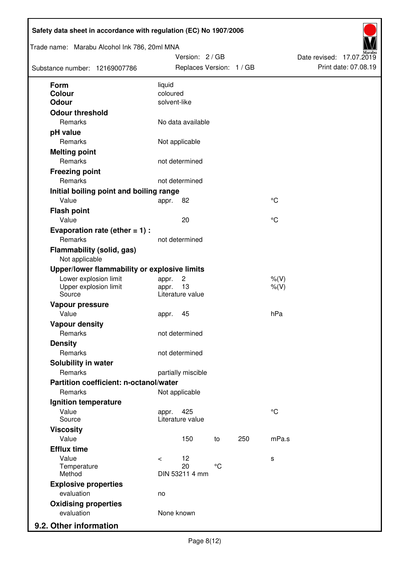| Trade name: Marabu Alcohol Ink 786, 20ml MNA<br>Substance number: 12169007786 |                | Version: 2 / GB<br>Replaces Version: 1 / GB |                 |     |                      | Date revised: 17.07.2019 | Print date: 07.08.19 |
|-------------------------------------------------------------------------------|----------------|---------------------------------------------|-----------------|-----|----------------------|--------------------------|----------------------|
| <b>Form</b>                                                                   | liquid         |                                             |                 |     |                      |                          |                      |
| Colour                                                                        | coloured       |                                             |                 |     |                      |                          |                      |
| <b>Odour</b>                                                                  | solvent-like   |                                             |                 |     |                      |                          |                      |
| <b>Odour threshold</b><br>Remarks                                             |                | No data available                           |                 |     |                      |                          |                      |
| pH value                                                                      |                |                                             |                 |     |                      |                          |                      |
| Remarks                                                                       |                | Not applicable                              |                 |     |                      |                          |                      |
| <b>Melting point</b>                                                          |                |                                             |                 |     |                      |                          |                      |
| Remarks                                                                       |                | not determined                              |                 |     |                      |                          |                      |
| <b>Freezing point</b>                                                         |                |                                             |                 |     |                      |                          |                      |
| Remarks                                                                       |                | not determined                              |                 |     |                      |                          |                      |
| Initial boiling point and boiling range                                       |                |                                             |                 |     |                      |                          |                      |
| Value                                                                         | appr.          | 82                                          |                 |     | $^{\circ}C$          |                          |                      |
| <b>Flash point</b>                                                            |                |                                             |                 |     |                      |                          |                      |
| Value                                                                         |                | 20                                          |                 |     | °C                   |                          |                      |
| Evaporation rate (ether $= 1$ ) :                                             |                |                                             |                 |     |                      |                          |                      |
| Remarks                                                                       |                | not determined                              |                 |     |                      |                          |                      |
| <b>Flammability (solid, gas)</b><br>Not applicable                            |                |                                             |                 |     |                      |                          |                      |
| Upper/lower flammability or explosive limits                                  |                |                                             |                 |     |                      |                          |                      |
| Lower explosion limit<br>Upper explosion limit<br>Source                      | appr.<br>appr. | $\overline{c}$<br>13<br>Literature value    |                 |     | $%$ (V)<br>$%$ $(V)$ |                          |                      |
| Vapour pressure                                                               |                |                                             |                 |     |                      |                          |                      |
| Value                                                                         | appr.          | 45                                          |                 |     | hPa                  |                          |                      |
| <b>Vapour density</b>                                                         |                |                                             |                 |     |                      |                          |                      |
| Remarks                                                                       |                | not determined                              |                 |     |                      |                          |                      |
| <b>Density</b>                                                                |                |                                             |                 |     |                      |                          |                      |
| Remarks                                                                       |                | not determined                              |                 |     |                      |                          |                      |
| Solubility in water                                                           |                |                                             |                 |     |                      |                          |                      |
| Remarks                                                                       |                | partially miscible                          |                 |     |                      |                          |                      |
| Partition coefficient: n-octanol/water                                        |                |                                             |                 |     |                      |                          |                      |
| Remarks                                                                       |                | Not applicable                              |                 |     |                      |                          |                      |
| Ignition temperature                                                          |                |                                             |                 |     |                      |                          |                      |
| Value<br>Source                                                               | appr.          | 425<br>Literature value                     |                 |     | $^{\circ}C$          |                          |                      |
| <b>Viscosity</b>                                                              |                |                                             |                 |     |                      |                          |                      |
| Value                                                                         |                | 150                                         | to              | 250 | mPa.s                |                          |                      |
| <b>Efflux time</b>                                                            |                |                                             |                 |     |                      |                          |                      |
| Value                                                                         | $\prec$        | 12                                          |                 |     | s                    |                          |                      |
| Temperature<br>Method                                                         |                | 20<br>DIN 53211 4 mm                        | $\rm ^{\circ}C$ |     |                      |                          |                      |
| <b>Explosive properties</b>                                                   |                |                                             |                 |     |                      |                          |                      |
| evaluation                                                                    | no             |                                             |                 |     |                      |                          |                      |
| <b>Oxidising properties</b>                                                   |                |                                             |                 |     |                      |                          |                      |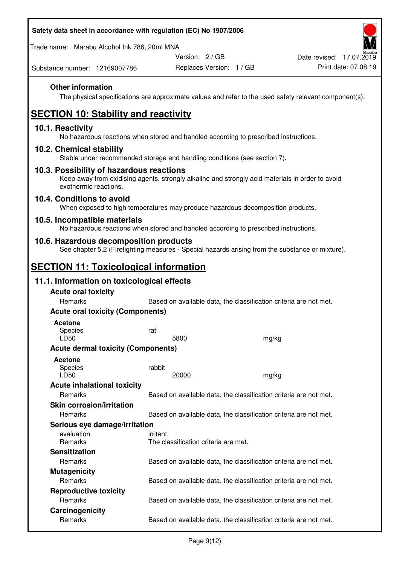Trade name: Marabu Alcohol Ink 786, 20ml MNA

Version: 2 / GB

Replaces Version: 1 / GB Print date: 07.08.19 Date revised: 17.07.2019

Substance number: 12169007786

### **Other information**

The physical specifications are approximate values and refer to the used safety relevant component(s).

# **SECTION 10: Stability and reactivity**

### **10.1. Reactivity**

No hazardous reactions when stored and handled according to prescribed instructions.

### **10.2. Chemical stability**

Stable under recommended storage and handling conditions (see section 7).

#### **10.3. Possibility of hazardous reactions**

Keep away from oxidising agents, strongly alkaline and strongly acid materials in order to avoid exothermic reactions.

#### **10.4. Conditions to avoid**

When exposed to high temperatures may produce hazardous decomposition products.

#### **10.5. Incompatible materials**

No hazardous reactions when stored and handled according to prescribed instructions.

### **10.6. Hazardous decomposition products**

See chapter 5.2 (Firefighting measures - Special hazards arising from the substance or mixture).

## **SECTION 11: Toxicological information**

## **11.1. Information on toxicological effects**

| <b>Acute oral toxicity</b><br>Remarks     |                                                                   |                                                                   |  |  |  |
|-------------------------------------------|-------------------------------------------------------------------|-------------------------------------------------------------------|--|--|--|
|                                           | Based on available data, the classification criteria are not met. |                                                                   |  |  |  |
| <b>Acute oral toxicity (Components)</b>   |                                                                   |                                                                   |  |  |  |
| <b>Acetone</b>                            |                                                                   |                                                                   |  |  |  |
| Species                                   | rat                                                               |                                                                   |  |  |  |
| LD50                                      | 5800                                                              | mg/kg                                                             |  |  |  |
| <b>Acute dermal toxicity (Components)</b> |                                                                   |                                                                   |  |  |  |
| Acetone                                   |                                                                   |                                                                   |  |  |  |
| <b>Species</b>                            | rabbit                                                            |                                                                   |  |  |  |
| LD50                                      | 20000                                                             | mg/kg                                                             |  |  |  |
| <b>Acute inhalational toxicity</b>        |                                                                   |                                                                   |  |  |  |
| Remarks                                   |                                                                   | Based on available data, the classification criteria are not met. |  |  |  |
| <b>Skin corrosion/irritation</b>          |                                                                   |                                                                   |  |  |  |
| Remarks                                   |                                                                   | Based on available data, the classification criteria are not met. |  |  |  |
| Serious eye damage/irritation             |                                                                   |                                                                   |  |  |  |
| evaluation                                | irritant                                                          |                                                                   |  |  |  |
| Remarks                                   | The classification criteria are met.                              |                                                                   |  |  |  |
| <b>Sensitization</b>                      |                                                                   |                                                                   |  |  |  |
| Remarks                                   |                                                                   | Based on available data, the classification criteria are not met. |  |  |  |
| <b>Mutagenicity</b>                       |                                                                   |                                                                   |  |  |  |
| <b>Remarks</b>                            |                                                                   | Based on available data, the classification criteria are not met. |  |  |  |
| <b>Reproductive toxicity</b>              |                                                                   |                                                                   |  |  |  |
| Remarks                                   |                                                                   | Based on available data, the classification criteria are not met. |  |  |  |
| Carcinogenicity                           |                                                                   |                                                                   |  |  |  |
| Remarks                                   |                                                                   | Based on available data, the classification criteria are not met. |  |  |  |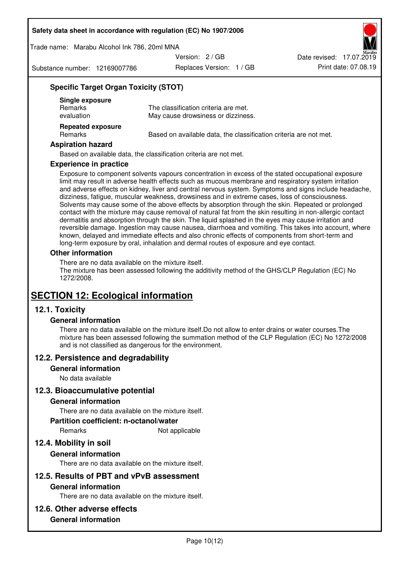Trade name: Marabu Alcohol Ink 786, 20ml MNA

Version: 2 / GB

Substance number: 12169007786

Replaces Version: 1 / GB Print date: 07.08.19 Date revised: 17.07.2019

## **Specific Target Organ Toxicity (STOT)**

| Single exposure<br><b>Remarks</b><br>evaluation | The classification criteria are met.<br>May cause drowsiness or dizziness. |
|-------------------------------------------------|----------------------------------------------------------------------------|
| <b>Repeated exposure</b><br><b>Remarks</b>      | Based on available data, the classification criteria are not met.          |

#### **Aspiration hazard**

Based on available data, the classification criteria are not met.

#### **Experience in practice**

Exposure to component solvents vapours concentration in excess of the stated occupational exposure limit may result in adverse health effects such as mucous membrane and respiratory system irritation and adverse effects on kidney, liver and central nervous system. Symptoms and signs include headache, dizziness, fatigue, muscular weakness, drowsiness and in extreme cases, loss of consciousness. Solvents may cause some of the above effects by absorption through the skin. Repeated or prolonged contact with the mixture may cause removal of natural fat from the skin resulting in non-allergic contact dermatitis and absorption through the skin. The liquid splashed in the eyes may cause irritation and reversible damage. Ingestion may cause nausea, diarrhoea and vomiting. This takes into account, where known, delayed and immediate effects and also chronic effects of components from short-term and long-term exposure by oral, inhalation and dermal routes of exposure and eye contact.

#### **Other information**

There are no data available on the mixture itself. The mixture has been assessed following the additivity method of the GHS/CLP Regulation (EC) No 1272/2008.

## **SECTION 12: Ecological information**

### **12.1. Toxicity**

#### **General information**

There are no data available on the mixture itself.Do not allow to enter drains or water courses.The mixture has been assessed following the summation method of the CLP Regulation (EC) No 1272/2008 and is not classified as dangerous for the environment.

#### **12.2. Persistence and degradability**

#### **General information**

No data available

#### **12.3. Bioaccumulative potential**

#### **General information**

There are no data available on the mixture itself.

#### **Partition coefficient: n-octanol/water**

Remarks Not applicable

## **12.4. Mobility in soil**

#### **General information**

There are no data available on the mixture itself.

#### **12.5. Results of PBT and vPvB assessment**

#### **General information**

There are no data available on the mixture itself.

#### **12.6. Other adverse effects**

### **General information**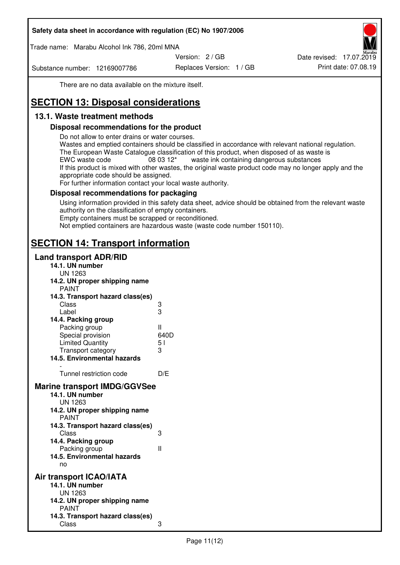Trade name: Marabu Alcohol Ink 786, 20ml MNA

Version: 2 / GB

Substance number: 12169007786

Replaces Version: 1 / GB Print date: 07.08.19 Date revised: 17.07.2019

There are no data available on the mixture itself.

# **SECTION 13: Disposal considerations**

## **13.1. Waste treatment methods**

### **Disposal recommendations for the product**

Do not allow to enter drains or water courses.

Wastes and emptied containers should be classified in accordance with relevant national regulation. The European Waste Catalogue classification of this product, when disposed of as waste is EWC waste code  $08\,03\,12^*$  waste ink containing dangerous substances If this product is mixed with other wastes, the original waste product code may no longer apply and the appropriate code should be assigned.

For further information contact your local waste authority.

### **Disposal recommendations for packaging**

Using information provided in this safety data sheet, advice should be obtained from the relevant waste authority on the classification of empty containers. Empty containers must be scrapped or reconditioned.

Not emptied containers are hazardous waste (waste code number 150110).

## **SECTION 14: Transport information**

#### **Land transport ADR/RID**

| 14.1. UN number<br><b>UN 1263</b>                                                                                                                                                                                                            |                   |
|----------------------------------------------------------------------------------------------------------------------------------------------------------------------------------------------------------------------------------------------|-------------------|
| 14.2. UN proper shipping name                                                                                                                                                                                                                |                   |
| <b>PAINT</b>                                                                                                                                                                                                                                 |                   |
| 14.3. Transport hazard class(es)                                                                                                                                                                                                             |                   |
| Class                                                                                                                                                                                                                                        | ვ<br>ვ            |
| Label                                                                                                                                                                                                                                        |                   |
| 14.4. Packing group                                                                                                                                                                                                                          |                   |
| Packing group                                                                                                                                                                                                                                | Ш                 |
| Special provision                                                                                                                                                                                                                            | 640D              |
| <b>Limited Quantity</b>                                                                                                                                                                                                                      | 5 <sub>1</sub>    |
| Transport category                                                                                                                                                                                                                           | 3                 |
| 14.5. Environmental hazards                                                                                                                                                                                                                  |                   |
| Tunnel restriction code                                                                                                                                                                                                                      | D/E               |
| <b>Marine transport IMDG/GGVSee</b><br>14.1. UN number<br>UN 1263<br>14.2. UN proper shipping name<br><b>PAINT</b><br>14.3. Transport hazard class(es)<br>Class<br>14.4. Packing group<br>Packing group<br>14.5. Environmental hazards<br>no | 3<br>$\mathbf{I}$ |
| Air transport ICAO/IATA<br>14.1. UN number<br>UN 1263<br>14.2. UN proper shipping name<br><b>PAINT</b>                                                                                                                                       |                   |
| 14.3. Transport hazard class(es)<br>Class                                                                                                                                                                                                    | 3                 |